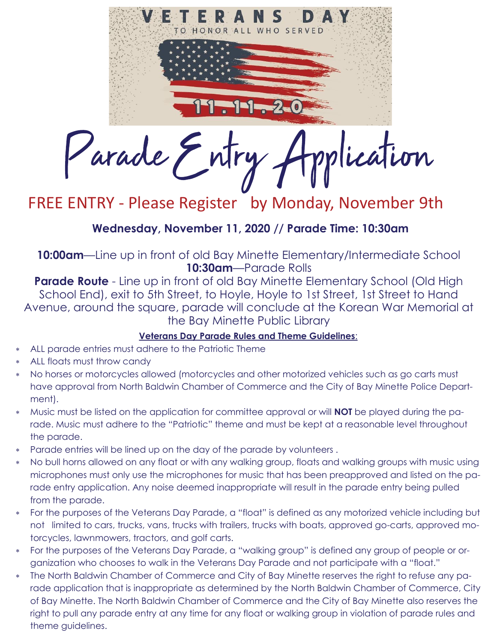

# FREE ENTRY - Please Register by Monday, November 9th

### **Wednesday, November 11, 2020 // Parade Time: 10:30am**

**10:00am**—Line up in front of old Bay Minette Elementary/Intermediate School **10:30am**—Parade Rolls

**Parade Route** - Line up in front of old Bay Minette Elementary School (Old High School End), exit to 5th Street, to Hoyle, Hoyle to 1st Street, 1st Street to Hand Avenue, around the square, parade will conclude at the Korean War Memorial at the Bay Minette Public Library

### **Veterans Day Parade Rules and Theme Guidelines**:

- ALL parade entries must adhere to the Patriotic Theme
- ALL floats must throw candy
- No horses or motorcycles allowed (motorcycles and other motorized vehicles such as go carts must have approval from North Baldwin Chamber of Commerce and the City of Bay Minette Police Department).
- Music must be listed on the application for committee approval or will **NOT** be played during the parade. Music must adhere to the "Patriotic" theme and must be kept at a reasonable level throughout the parade.
- Parade entries will be lined up on the day of the parade by volunteers .
- No bull horns allowed on any float or with any walking group, floats and walking groups with music using microphones must only use the microphones for music that has been preapproved and listed on the parade entry application. Any noise deemed inappropriate will result in the parade entry being pulled from the parade.
- For the purposes of the Veterans Day Parade, a "float" is defined as any motorized vehicle including but not limited to cars, trucks, vans, trucks with trailers, trucks with boats, approved go-carts, approved motorcycles, lawnmowers, tractors, and golf carts.
- For the purposes of the Veterans Day Parade, a "walking group" is defined any group of people or organization who chooses to walk in the Veterans Day Parade and not participate with a "float."
- The North Baldwin Chamber of Commerce and City of Bay Minette reserves the right to refuse any parade application that is inappropriate as determined by the North Baldwin Chamber of Commerce, City of Bay Minette. The North Baldwin Chamber of Commerce and the City of Bay Minette also reserves the right to pull any parade entry at any time for any float or walking group in violation of parade rules and theme guidelines.